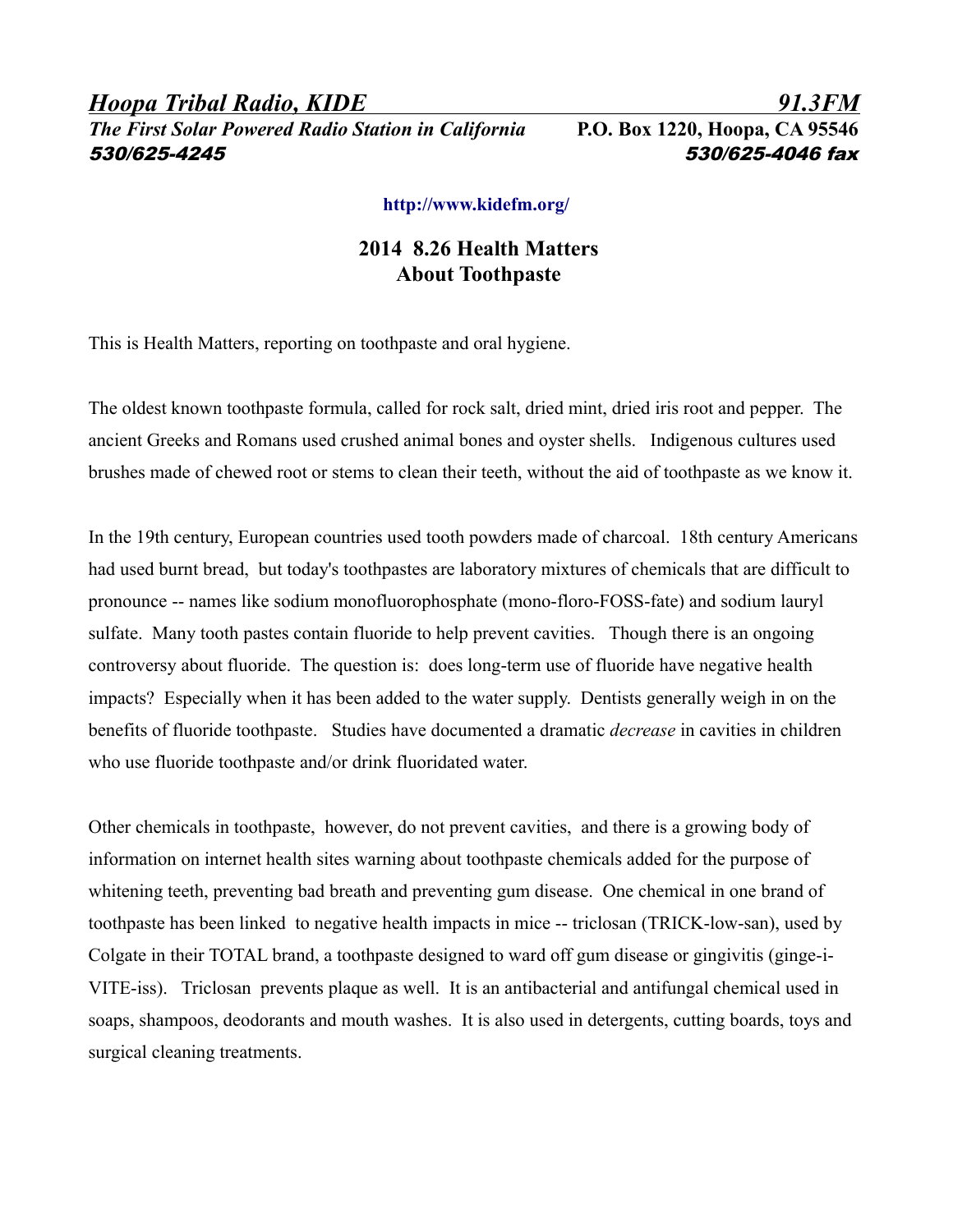*Hoopa Tribal Radio, KIDE 91.3FM The First Solar Powered Radio Station in California* **P.O. Box 1220, Hoopa, CA 95546** 530/625-4245 530/625-4046 fax

## **<http://www.kidefm.org/>**

## **2014 8.26 Health Matters About Toothpaste**

This is Health Matters, reporting on toothpaste and oral hygiene.

The oldest known toothpaste formula, called for rock salt, dried mint, dried iris root and pepper. The ancient Greeks and Romans used crushed animal bones and oyster shells. Indigenous cultures used brushes made of chewed root or stems to clean their teeth, without the aid of toothpaste as we know it.

In the 19th century, European countries used tooth powders made of charcoal. 18th century Americans had used burnt bread, but today's toothpastes are laboratory mixtures of chemicals that are difficult to pronounce -- names like sodium monofluorophosphate (mono-floro-FOSS-fate) and sodium lauryl sulfate. Many tooth pastes contain fluoride to help prevent cavities. Though there is an ongoing controversy about fluoride. The question is: does long-term use of fluoride have negative health impacts? Especially when it has been added to the water supply. Dentists generally weigh in on the benefits of fluoride toothpaste. Studies have documented a dramatic *decrease* in cavities in children who use fluoride toothpaste and/or drink fluoridated water.

Other chemicals in toothpaste, however, do not prevent cavities, and there is a growing body of information on internet health sites warning about toothpaste chemicals added for the purpose of whitening teeth, preventing bad breath and preventing gum disease. One chemical in one brand of toothpaste has been linked to negative health impacts in mice -- triclosan (TRICK-low-san), used by Colgate in their TOTAL brand, a toothpaste designed to ward off gum disease or gingivitis (ginge-i-VITE-iss). Triclosan prevents plaque as well. It is an antibacterial and antifungal chemical used in soaps, shampoos, deodorants and mouth washes. It is also used in detergents, cutting boards, toys and surgical cleaning treatments.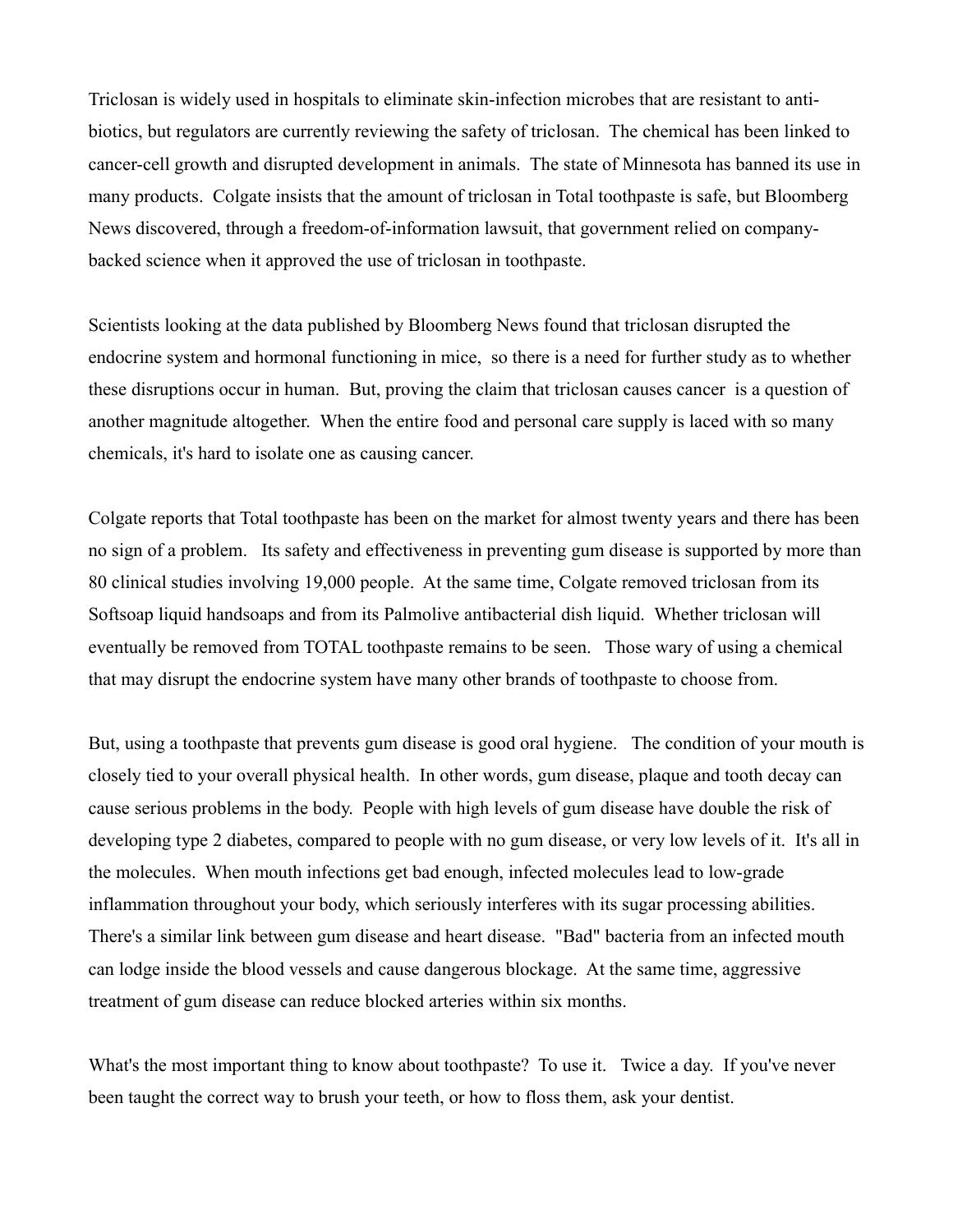Triclosan is widely used in hospitals to eliminate skin-infection microbes that are resistant to antibiotics, but regulators are currently reviewing the safety of triclosan. The chemical has been linked to cancer-cell growth and disrupted development in animals. The state of Minnesota has banned its use in many products. Colgate insists that the amount of triclosan in Total toothpaste is safe, but Bloomberg News discovered, through a freedom-of-information lawsuit, that government relied on companybacked science when it approved the use of triclosan in toothpaste.

Scientists looking at the data published by Bloomberg News found that triclosan disrupted the endocrine system and hormonal functioning in mice, so there is a need for further study as to whether these disruptions occur in human. But, proving the claim that triclosan causes cancer is a question of another magnitude altogether. When the entire food and personal care supply is laced with so many chemicals, it's hard to isolate one as causing cancer.

Colgate reports that Total toothpaste has been on the market for almost twenty years and there has been no sign of a problem. Its safety and effectiveness in preventing gum disease is supported by more than 80 clinical studies involving 19,000 people. At the same time, Colgate removed triclosan from its Softsoap liquid handsoaps and from its Palmolive antibacterial dish liquid. Whether triclosan will eventually be removed from TOTAL toothpaste remains to be seen. Those wary of using a chemical that may disrupt the endocrine system have many other brands of toothpaste to choose from.

But, using a toothpaste that prevents gum disease is good oral hygiene. The condition of your mouth is closely tied to your overall physical health. In other words, gum disease, plaque and tooth decay can cause serious problems in the body. People with high levels of gum disease have double the risk of developing type 2 diabetes, compared to people with no gum disease, or very low levels of it. It's all in the molecules. When mouth infections get bad enough, infected molecules lead to low-grade inflammation throughout your body, which seriously interferes with its sugar processing abilities. There's a similar link between gum disease and heart disease. "Bad" bacteria from an infected mouth can lodge inside the blood vessels and cause dangerous blockage. At the same time, aggressive treatment of gum disease can reduce blocked arteries within six months.

What's the most important thing to know about toothpaste? To use it. Twice a day. If you've never been taught the correct way to brush your teeth, or how to floss them, ask your dentist.